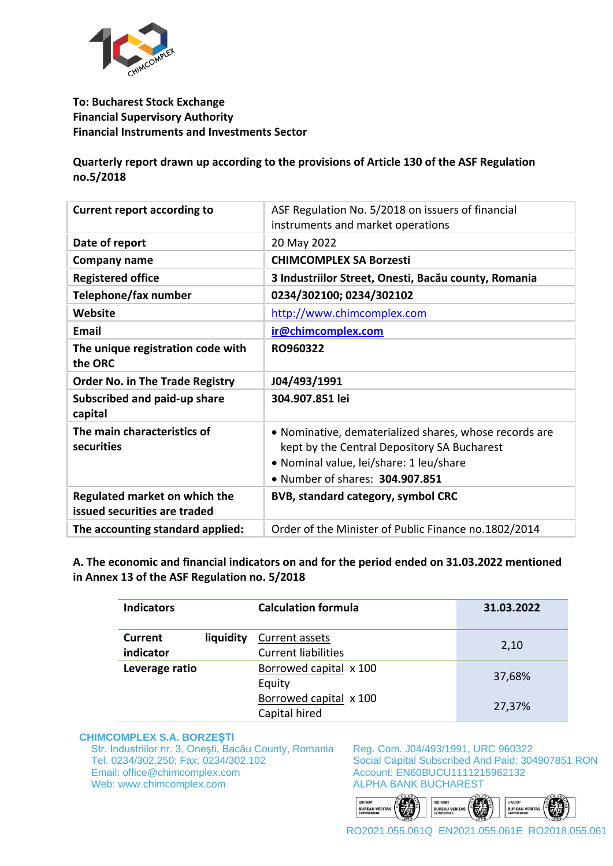

## **To: Bucharest Stock Exchange Financial Supervisory Authority Financial Instruments and Investments Sector**

**Quarterly report drawn up according to the provisions of Article 130 of the ASF Regulation no.5/2018** 

| <b>Current report according to</b>                                   | ASF Regulation No. 5/2018 on issuers of financial<br>instruments and market operations                                                                                              |
|----------------------------------------------------------------------|-------------------------------------------------------------------------------------------------------------------------------------------------------------------------------------|
| Date of report                                                       | 20 May 2022                                                                                                                                                                         |
| Company name                                                         | <b>CHIMCOMPLEX SA Borzesti</b>                                                                                                                                                      |
| <b>Registered office</b>                                             | 3 Industriilor Street, Onesti, Bacău county, Romania                                                                                                                                |
| Telephone/fax number                                                 | 0234/302100; 0234/302102                                                                                                                                                            |
| Website                                                              | http://www.chimcomplex.com                                                                                                                                                          |
| <b>Email</b>                                                         | ir@chimcomplex.com                                                                                                                                                                  |
| The unique registration code with<br>the ORC                         | RO960322                                                                                                                                                                            |
| <b>Order No. in The Trade Registry</b>                               | J04/493/1991                                                                                                                                                                        |
| Subscribed and paid-up share<br>capital                              | 304.907.851 lei                                                                                                                                                                     |
| The main characteristics of<br>securities                            | • Nominative, dematerialized shares, whose records are<br>kept by the Central Depository SA Bucharest<br>· Nominal value, lei/share: 1 leu/share<br>• Number of shares: 304.907.851 |
| <b>Regulated market on which the</b><br>issued securities are traded | <b>BVB, standard category, symbol CRC</b>                                                                                                                                           |
| The accounting standard applied:                                     | Order of the Minister of Public Finance no.1802/2014                                                                                                                                |

**A. The economic and financial indicators on and for the period ended on 31.03.2022 mentioned in Annex 13 of the ASF Regulation no. 5/2018**

| <b>Indicators</b>    |           | <b>Calculation formula</b>                   | 31.03.2022 |
|----------------------|-----------|----------------------------------------------|------------|
| Current<br>indicator | liquidity | Current assets<br><b>Current liabilities</b> | 2,10       |
| Leverage ratio       |           | Borrowed capital x 100<br>Equity             | 37,68%     |
|                      |           | Borrowed capital x 100<br>Capital hired      | 27,37%     |

#### **CHIMCOMPLEX S.A. BORZEȘTI**

Str. Industriilor nr. 3, Oneşti, Bacău County, Romania Tel. 0234/302.250; Fax: 0234/302.102 Email: office@chimcomplex.com Web: www.chimcomplex.com

Reg. Com. J04/493/1991, URC 960322 Social Capital Subscribed And Paid: 304907851 RON Account: EN60BUCU1111215962132 ALPHA BANK BUCHAREST

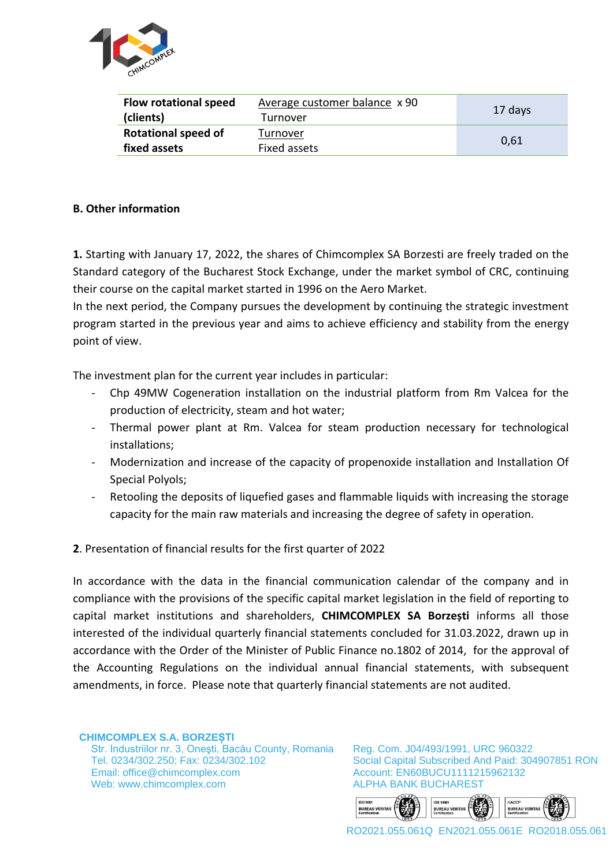

| <b>Flow rotational speed</b> | Average customer balance x 90 | 17 days |  |
|------------------------------|-------------------------------|---------|--|
| (clients)                    | Turnover                      |         |  |
| <b>Rotational speed of</b>   | Turnover                      | 0.61    |  |
| fixed assets                 | Fixed assets                  |         |  |

## **B. Other information**

**1.** Starting with January 17, 2022, the shares of Chimcomplex SA Borzesti are freely traded on the Standard category of the Bucharest Stock Exchange, under the market symbol of CRC, continuing their course on the capital market started in 1996 on the Aero Market.

In the next period, the Company pursues the development by continuing the strategic investment program started in the previous year and aims to achieve efficiency and stability from the energy point of view.

The investment plan for the current year includes in particular:

- Chp 49MW Cogeneration installation on the industrial platform from Rm Valcea for the production of electricity, steam and hot water;
- Thermal power plant at Rm. Valcea for steam production necessary for technological installations;
- Modernization and increase of the capacity of propenoxide installation and Installation Of Special Polyols;
- Retooling the deposits of liquefied gases and flammable liquids with increasing the storage capacity for the main raw materials and increasing the degree of safety in operation.
- **2**. Presentation of financial results for the first quarter of 2022

In accordance with the data in the financial communication calendar of the company and in compliance with the provisions of the specific capital market legislation in the field of reporting to capital market institutions and shareholders, **CHIMCOMPLEX SA Borzești** informs all those interested of the individual quarterly financial statements concluded for 31.03.2022, drawn up in accordance with the Order of the Minister of Public Finance no.1802 of 2014, for the approval of the Accounting Regulations on the individual annual financial statements, with subsequent amendments, in force. Please note that quarterly financial statements are not audited.

**CHIMCOMPLEX S.A. BORZEȘTI** Str. Industriilor nr. 3, Oneşti, Bacău County, Romania Tel. 0234/302.250; Fax: 0234/302.102 Email: office@chimcomplex.com Web: www.chimcomplex.com

Reg. Com. J04/493/1991, URC 960322 Social Capital Subscribed And Paid: 304907851 RON Account: EN60BUCU1111215962132 ALPHA BANK BUCHAREST

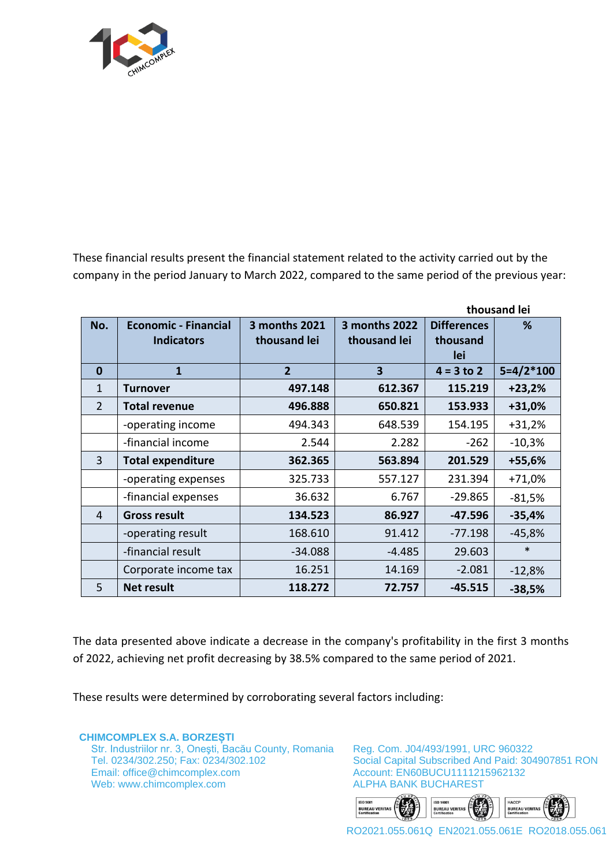

These financial results present the financial statement related to the activity carried out by the company in the period January to March 2022, compared to the same period of the previous year:

|                | thousand lei                |                |                         |                    |             |
|----------------|-----------------------------|----------------|-------------------------|--------------------|-------------|
| No.            | <b>Economic - Financial</b> | 3 months 2021  | 3 months 2022           | <b>Differences</b> | %           |
|                | <b>Indicators</b>           | thousand lei   | thousand lei            | thousand           |             |
|                |                             |                |                         | lei                |             |
| $\bf{0}$       | $\mathbf{1}$                | $\overline{2}$ | $\overline{\mathbf{3}}$ | $4 = 3 to 2$       | $5=4/2*100$ |
| $\mathbf{1}$   | Turnover                    | 497.148        | 612.367                 | 115.219            | $+23,2%$    |
| $\overline{2}$ | <b>Total revenue</b>        | 496.888        | 650.821                 | 153.933            | +31,0%      |
|                | -operating income           | 494.343        | 648.539                 | 154.195            | $+31,2%$    |
|                | -financial income           | 2.544          | 2.282                   | $-262$             | $-10,3%$    |
| $\overline{3}$ | <b>Total expenditure</b>    | 362.365        | 563.894                 | 201.529            | +55,6%      |
|                | -operating expenses         | 325.733        | 557.127                 | 231.394            | $+71,0%$    |
|                | -financial expenses         | 36.632         | 6.767                   | $-29.865$          | $-81,5%$    |
| 4              | <b>Gross result</b>         | 134.523        | 86.927                  | $-47.596$          | $-35,4%$    |
|                | -operating result           | 168.610        | 91.412                  | $-77.198$          | $-45,8%$    |
|                | -financial result           | $-34.088$      | $-4.485$                | 29.603             | $\ast$      |
|                | Corporate income tax        | 16.251         | 14.169                  | $-2.081$           | $-12,8%$    |
| 5              | <b>Net result</b>           | 118.272        | 72.757                  | $-45.515$          | $-38,5%$    |

The data presented above indicate a decrease in the company's profitability in the first 3 months of 2022, achieving net profit decreasing by 38.5% compared to the same period of 2021.

These results were determined by corroborating several factors including:

**CHIMCOMPLEX S.A. BORZEȘTI** Str. Industriilor nr. 3, Oneşti, Bacău County, Romania Tel. 0234/302.250; Fax: 0234/302.102 Email: office@chimcomplex.com Web: www.chimcomplex.com

Reg. Com. J04/493/1991, URC 960322 Social Capital Subscribed And Paid: 304907851 RON Account: EN60BUCU1111215962132 ALPHA BANK BUCHAREST

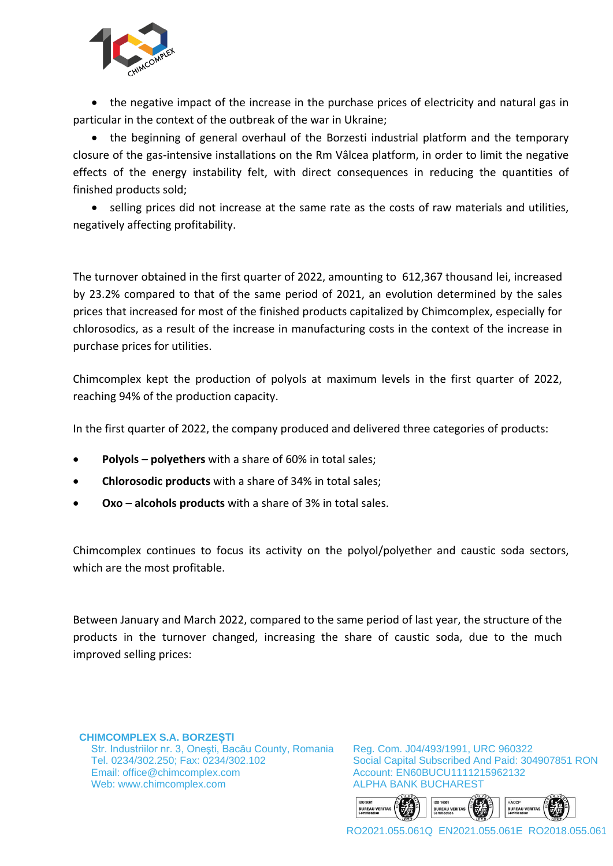

• the negative impact of the increase in the purchase prices of electricity and natural gas in particular in the context of the outbreak of the war in Ukraine;

• the beginning of general overhaul of the Borzesti industrial platform and the temporary closure of the gas-intensive installations on the Rm Vâlcea platform, in order to limit the negative effects of the energy instability felt, with direct consequences in reducing the quantities of finished products sold;

 selling prices did not increase at the same rate as the costs of raw materials and utilities, negatively affecting profitability.

The turnover obtained in the first quarter of 2022, amounting to 612,367 thousand lei, increased by 23.2% compared to that of the same period of 2021, an evolution determined by the sales prices that increased for most of the finished products capitalized by Chimcomplex, especially for chlorosodics, as a result of the increase in manufacturing costs in the context of the increase in purchase prices for utilities.

Chimcomplex kept the production of polyols at maximum levels in the first quarter of 2022, reaching 94% of the production capacity.

In the first quarter of 2022, the company produced and delivered three categories of products:

- **Polyols – polyethers** with a share of 60% in total sales;
- **Chlorosodic products** with a share of 34% in total sales;
- **Oxo – alcohols products** with a share of 3% in total sales.

Chimcomplex continues to focus its activity on the polyol/polyether and caustic soda sectors, which are the most profitable.

Between January and March 2022, compared to the same period of last year, the structure of the products in the turnover changed, increasing the share of caustic soda, due to the much improved selling prices:

**CHIMCOMPLEX S.A. BORZEȘTI** Str. Industriilor nr. 3, Oneşti, Bacău County, Romania Tel. 0234/302.250; Fax: 0234/302.102 Email: office@chimcomplex.com Web: www.chimcomplex.com

Reg. Com. J04/493/1991, URC 960322 Social Capital Subscribed And Paid: 304907851 RON Account: EN60BUCU1111215962132 ALPHA BANK BUCHAREST

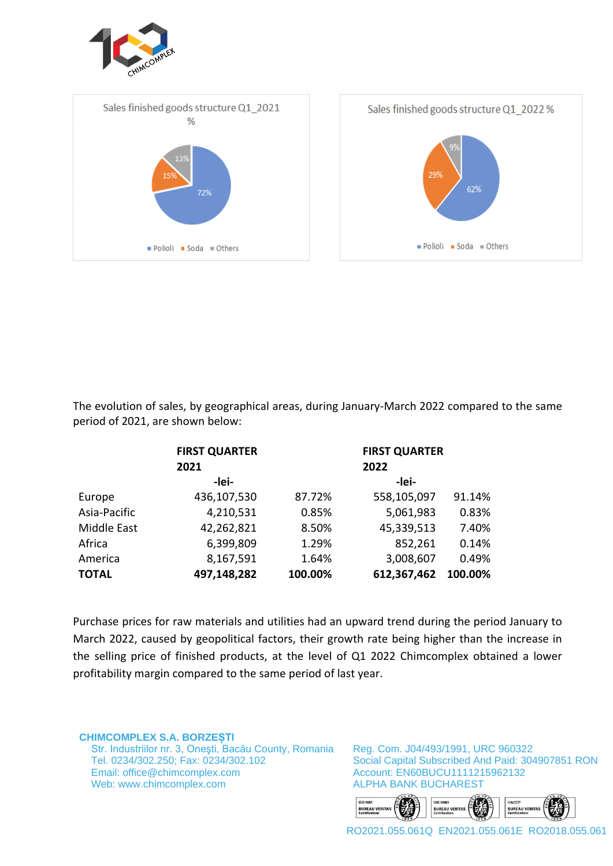





The evolution of sales, by geographical areas, during January-March 2022 compared to the same period of 2021, are shown below:

|              | <b>FIRST QUARTER</b> |         |             | <b>FIRST QUARTER</b> |  |  |
|--------------|----------------------|---------|-------------|----------------------|--|--|
|              | 2021                 |         | 2022        |                      |  |  |
|              | -lei-                |         | -lei-       |                      |  |  |
| Europe       | 436,107,530          | 87.72%  | 558,105,097 | 91.14%               |  |  |
| Asia-Pacific | 4,210,531            | 0.85%   | 5,061,983   | 0.83%                |  |  |
| Middle East  | 42,262,821           | 8.50%   | 45,339,513  | 7.40%                |  |  |
| Africa       | 6,399,809            | 1.29%   | 852,261     | 0.14%                |  |  |
| America      | 8,167,591            | 1.64%   | 3,008,607   | 0.49%                |  |  |
| <b>TOTAL</b> | 497,148,282          | 100.00% | 612,367,462 | 100.00%              |  |  |

Purchase prices for raw materials and utilities had an upward trend during the period January to March 2022, caused by geopolitical factors, their growth rate being higher than the increase in the selling price of finished products, at the level of Q1 2022 Chimcomplex obtained a lower profitability margin compared to the same period of last year.

**CHIMCOMPLEX S.A. BORZEȘTI** Str. Industriilor nr. 3, Oneşti, Bacău County, Romania Tel. 0234/302.250; Fax: 0234/302.102 Email: office@chimcomplex.com Web: www.chimcomplex.com

Reg. Com. J04/493/1991, URC 960322 Social Capital Subscribed And Paid: 304907851 RON Account: EN60BUCU1111215962132 ALPHA BANK BUCHAREST

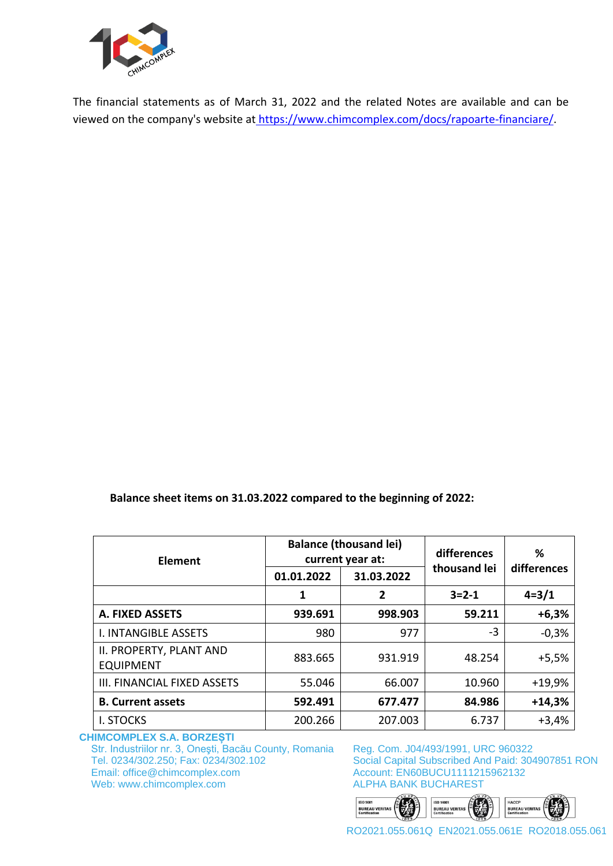

The financial statements as of March 31, 2022 and the related Notes are available and can be viewed on the company's website at [https://www.chimcomplex.com/docs/rapoarte-financiare/.](https://www.chimcomplex.com/docs/rapoarte-financiare/)

**Balance sheet items on 31.03.2022 compared to the beginning of 2022:**

| Element                                     | <b>Balance (thousand lei)</b><br>current year at: |                | differences  | ℅           |
|---------------------------------------------|---------------------------------------------------|----------------|--------------|-------------|
|                                             | 01.01.2022                                        | 31.03.2022     | thousand lei | differences |
|                                             | 1                                                 | $\overline{2}$ | $3 = 2 - 1$  | $4 = 3/1$   |
| A. FIXED ASSETS                             | 939.691                                           | 998.903        | 59.211       | $+6,3%$     |
| <b>I. INTANGIBLE ASSETS</b>                 | 980                                               | 977            | $-3$         | $-0,3%$     |
| II. PROPERTY, PLANT AND<br><b>EQUIPMENT</b> | 883.665                                           | 931.919        | 48.254       | $+5,5%$     |
| III. FINANCIAL FIXED ASSETS                 | 55.046                                            | 66.007         | 10.960       | $+19,9%$    |
| <b>B. Current assets</b>                    | 592.491                                           | 677.477        | 84.986       | $+14,3%$    |
| <b>I. STOCKS</b>                            | 200.266                                           | 207.003        | 6.737        | $+3,4%$     |

**CHIMCOMPLEX S.A. BORZEȘTI**

Str. Industriilor nr. 3, Oneşti, Bacău County, Romania Tel. 0234/302.250; Fax: 0234/302.102 Email: office@chimcomplex.com Web: www.chimcomplex.com

Reg. Com. J04/493/1991, URC 960322 Social Capital Subscribed And Paid: 304907851 RON Account: EN60BUCU1111215962132 ALPHA BANK BUCHAREST

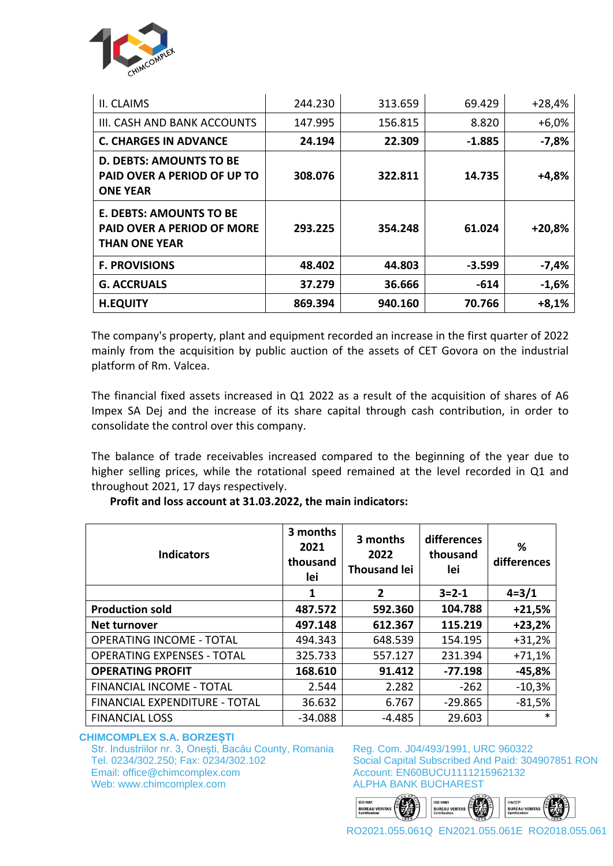

| II. CLAIMS                                                                           | 244.230 | 313.659 | 69.429   | $+28,4%$ |
|--------------------------------------------------------------------------------------|---------|---------|----------|----------|
| III. CASH AND BANK ACCOUNTS                                                          | 147.995 | 156.815 | 8.820    | $+6,0%$  |
| <b>C. CHARGES IN ADVANCE</b>                                                         | 24.194  | 22.309  | $-1.885$ | $-7,8%$  |
| <b>D. DEBTS: AMOUNTS TO BE</b><br>PAID OVER A PERIOD OF UP TO<br><b>ONE YEAR</b>     | 308.076 | 322.811 | 14.735   | $+4,8%$  |
| <b>E. DEBTS: AMOUNTS TO BE</b><br>PAID OVER A PERIOD OF MORE<br><b>THAN ONE YEAR</b> | 293.225 | 354.248 | 61.024   | $+20,8%$ |
| <b>F. PROVISIONS</b>                                                                 | 48.402  | 44.803  | $-3.599$ | $-7,4%$  |
| <b>G. ACCRUALS</b>                                                                   | 37.279  | 36.666  | $-614$   | $-1,6%$  |
| <b>H.EQUITY</b>                                                                      | 869.394 | 940.160 | 70.766   | $+8,1%$  |

The company's property, plant and equipment recorded an increase in the first quarter of 2022 mainly from the acquisition by public auction of the assets of CET Govora on the industrial platform of Rm. Valcea.

The financial fixed assets increased in Q1 2022 as a result of the acquisition of shares of A6 Impex SA Dej and the increase of its share capital through cash contribution, in order to consolidate the control over this company.

The balance of trade receivables increased compared to the beginning of the year due to higher selling prices, while the rotational speed remained at the level recorded in Q1 and throughout 2021, 17 days respectively.

| <b>Indicators</b>                 | 3 months<br>2021<br>thousand<br>lei | 3 months<br>2022<br><b>Thousand lei</b> | differences<br>thousand<br>lei | ℅<br>differences |
|-----------------------------------|-------------------------------------|-----------------------------------------|--------------------------------|------------------|
|                                   | 1                                   | $\overline{2}$                          | $3 = 2 - 1$                    | $4 = 3/1$        |
| <b>Production sold</b>            | 487.572                             | 592.360                                 | 104.788                        | $+21,5%$         |
| Net turnover                      | 497.148                             | 612.367                                 | 115.219                        | $+23,2%$         |
| <b>OPERATING INCOME - TOTAL</b>   | 494.343                             | 648.539                                 | 154.195                        | $+31,2%$         |
| <b>OPERATING EXPENSES - TOTAL</b> | 325.733                             | 557.127                                 | 231.394                        | $+71,1%$         |
| <b>OPERATING PROFIT</b>           | 168.610                             | 91.412                                  | $-77.198$                      | $-45,8%$         |
| FINANCIAL INCOME - TOTAL          | 2.544                               | 2.282                                   | $-262$                         | $-10,3%$         |
| FINANCIAL EXPENDITURE - TOTAL     | 36.632                              | 6.767                                   | $-29.865$                      | $-81,5%$         |
| <b>FINANCIAL LOSS</b>             | $-34.088$                           | -4.485                                  | 29.603                         | *                |

### **Profit and loss account at 31.03.2022, the main indicators:**

#### **CHIMCOMPLEX S.A. BORZEȘTI**

Str. Industriilor nr. 3, Oneşti, Bacău County, Romania Tel. 0234/302.250; Fax: 0234/302.102 Email: office@chimcomplex.com Web: www.chimcomplex.com

Reg. Com. J04/493/1991, URC 960322 Social Capital Subscribed And Paid: 304907851 RON Account: EN60BUCU1111215962132 ALPHA BANK BUCHAREST